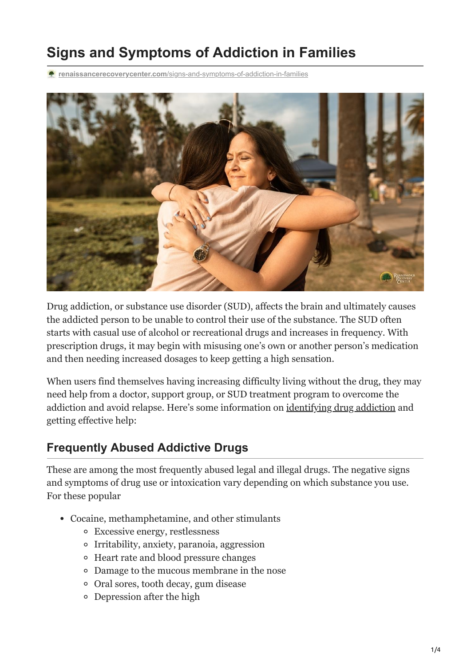# **Signs and Symptoms of Addiction in Families**

**renaissancerecoverycenter.com**[/signs-and-symptoms-of-addiction-in-families](https://www.renaissancerecoverycenter.com/signs-and-symptoms-of-addiction-in-families/)



Drug addiction, or substance use disorder (SUD), affects the brain and ultimately causes the addicted person to be unable to control their use of the substance. The SUD often starts with casual use of alcohol or recreational drugs and increases in frequency. With prescription drugs, it may begin with misusing one's own or another person's medication and then needing increased dosages to keep getting a high sensation.

When users find themselves having increasing difficulty living without the drug, they may need help from a doctor, support group, or SUD treatment program to overcome the addiction and avoid relapse. Here's some information on [identifying drug addiction](https://www.renaissancerecoverycenter.com/does-addiction-last-a-lifetime/) and getting effective help:

#### **Frequently Abused Addictive Drugs**

These are among the most frequently abused legal and illegal drugs. The negative signs and symptoms of drug use or intoxication vary depending on which substance you use. For these popular

- Cocaine, methamphetamine, and other stimulants
	- Excessive energy, restlessness
	- Irritability, anxiety, paranoia, aggression
	- Heart rate and blood pressure changes
	- Damage to the mucous membrane in the nose
	- Oral sores, tooth decay, gum disease
	- Depression after the high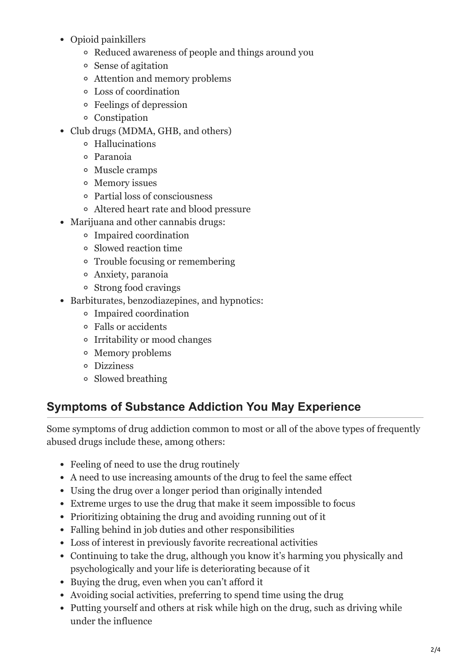- Opioid painkillers
	- Reduced awareness of people and things around you
	- Sense of agitation
	- Attention and memory problems
	- Loss of coordination
	- Feelings of depression
	- Constipation
- Club drugs (MDMA, GHB, and others)
	- Hallucinations
	- Paranoia
	- Muscle cramps
	- Memory issues
	- Partial loss of consciousness
	- Altered heart rate and blood pressure
- Marijuana and other cannabis drugs:
	- Impaired coordination
	- Slowed reaction time
	- Trouble focusing or remembering
	- Anxiety, paranoia
	- Strong food cravings
- Barbiturates, benzodiazepines, and hypnotics:
	- Impaired coordination
	- Falls or accidents
	- Irritability or mood changes
	- Memory problems
	- Dizziness
	- Slowed breathing

#### **Symptoms of Substance Addiction You May Experience**

Some symptoms of drug addiction common to most or all of the above types of frequently abused drugs include these, among others:

- Feeling of need to use the drug routinely
- A need to use increasing amounts of the drug to feel the same effect
- Using the drug over a longer period than originally intended
- Extreme urges to use the drug that make it seem impossible to focus
- Prioritizing obtaining the drug and avoiding running out of it
- Falling behind in job duties and other responsibilities
- Loss of interest in previously favorite recreational activities
- Continuing to take the drug, although you know it's harming you physically and psychologically and your life is deteriorating because of it
- Buying the drug, even when you can't afford it
- Avoiding social activities, preferring to spend time using the drug
- Putting yourself and others at risk while high on the drug, such as driving while under the influence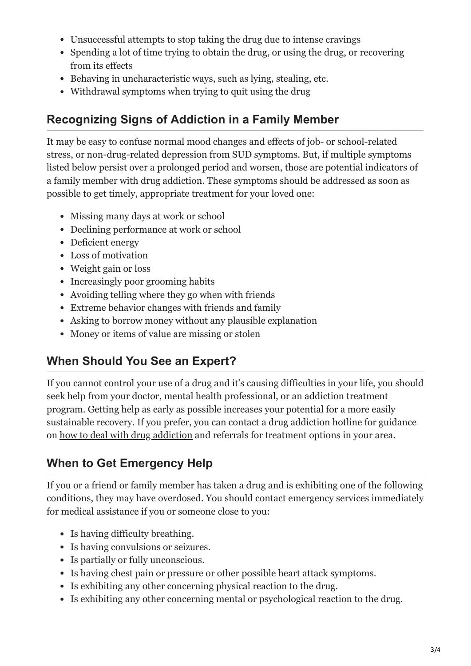- Unsuccessful attempts to stop taking the drug due to intense cravings
- Spending a lot of time trying to obtain the drug, or using the drug, or recovering from its effects
- Behaving in uncharacteristic ways, such as lying, stealing, etc.
- Withdrawal symptoms when trying to quit using the drug

### **Recognizing Signs of Addiction in a Family Member**

It may be easy to confuse normal mood changes and effects of job- or school-related stress, or non-drug-related depression from SUD symptoms. But, if multiple symptoms listed below persist over a prolonged period and worsen, those are potential indicators of a <u>family member with drug addiction</u>. These symptoms should be addressed as soon as possible to get timely, appropriate treatment for your loved one:

- Missing many days at work or school
- Declining performance at work or school
- Deficient energy
- Loss of motivation
- Weight gain or loss
- Increasingly poor grooming habits
- Avoiding telling where they go when with friends
- Extreme behavior changes with friends and family
- Asking to borrow money without any plausible explanation
- Money or items of value are missing or stolen

## **When Should You See an Expert?**

If you cannot control your use of a drug and it's causing difficulties in your life, you should seek help from your doctor, mental health professional, or an addiction treatment program. Getting help as early as possible increases your potential for a more easily sustainable recovery. If you prefer, you can contact a drug addiction hotline for guidance on [how to deal with drug addiction](https://www.renaissancerecoverycenter.com/how-to-manage-your-fear-of-relapse/) and referrals for treatment options in your area.

## **When to Get Emergency Help**

If you or a friend or family member has taken a drug and is exhibiting one of the following conditions, they may have overdosed. You should contact emergency services immediately for medical assistance if you or someone close to you:

- Is having difficulty breathing.
- Is having convulsions or seizures.
- Is partially or fully unconscious.
- Is having chest pain or pressure or other possible heart attack symptoms.
- Is exhibiting any other concerning physical reaction to the drug.
- Is exhibiting any other concerning mental or psychological reaction to the drug.